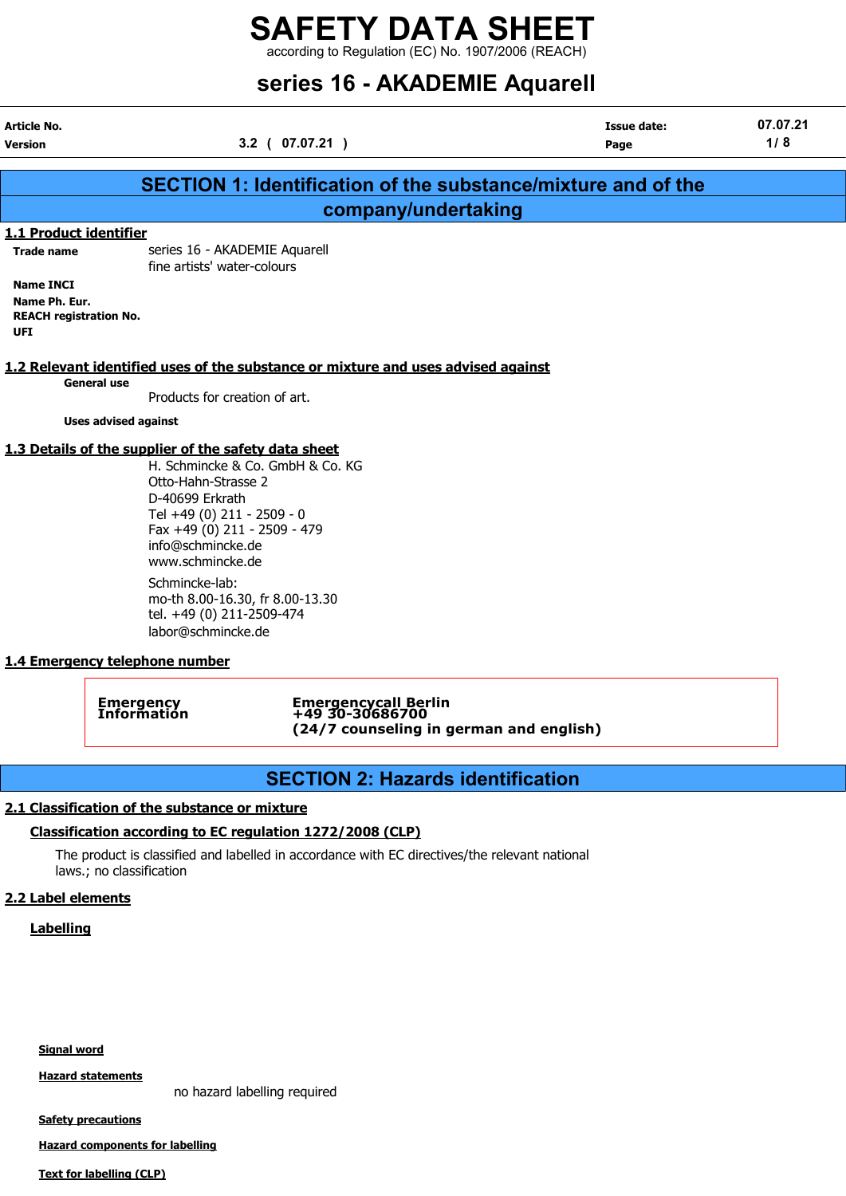according to Regulation (EC) No. 1907/2006 (REACH)

# series 16 - AKADEMIE Aquarell

Article No. Issue date: 07.07.21 Version 3.2 ( 07.07.21 ) Page 1/ 8 SECTION 1: Identification of the substance/mixture and of the company/undertaking 1.1 Product identifier

Trade name series 16 - AKADEMIE Aquarell fine artists' water-colours

Name INCI Name Ph. Eur. REACH registration No. UFI

## 1.2 Relevant identified uses of the substance or mixture and uses advised against

General use

Products for creation of art.

Uses advised against

#### 1.3 Details of the supplier of the safety data sheet

H. Schmincke & Co. GmbH & Co. KG Otto-Hahn-Strasse 2 D-40699 Erkrath Tel +49 (0) 211 - 2509 - 0 Fax +49 (0) 211 - 2509 - 479 info@schmincke.de www.schmincke.de

Schmincke-lab: mo-th 8.00-16.30, fr 8.00-13.30 tel. +49 (0) 211-2509-474 labor@schmincke.de

## 1.4 Emergency telephone number

Emergency Emergencycall Berlin Information +49 30-30686700 (24/7 counseling in german and english)

# SECTION 2: Hazards identification

# 2.1 Classification of the substance or mixture

# Classification according to EC regulation 1272/2008 (CLP)

The product is classified and labelled in accordance with EC directives/the relevant national laws.; no classification

## 2.2 Label elements

## **Labelling**

Signal word

Hazard statements

no hazard labelling required

**Safety precautions** 

Hazard components for labelling

Text for labelling (CLP)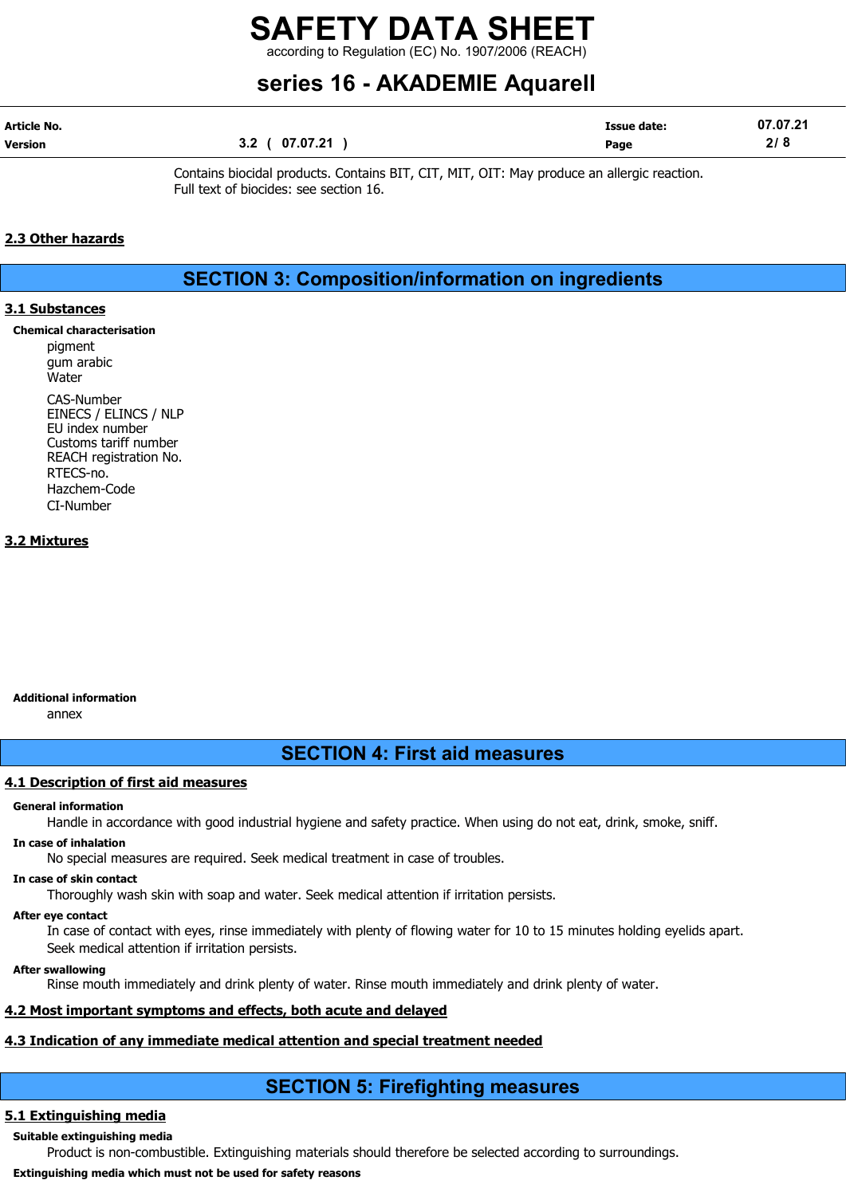according to Regulation (EC) No. 1907/2006 (REACH)

# series 16 - AKADEMIE Aquarell

| Article No. |                 | Issue date: | 07.07.21 |
|-------------|-----------------|-------------|----------|
| Version     | 07.07.21<br>3.2 | Page        | 218      |

Contains biocidal products. Contains BIT, CIT, MIT, OIT: May produce an allergic reaction. Full text of biocides: see section 16.

## 2.3 Other hazards

SECTION 3: Composition/information on ingredients

## 3.1 Substances

Chemical characterisation

pigment gum arabic **Water** CAS-Number EINECS / ELINCS / NLP EU index number Customs tariff number REACH registration No. RTECS-no. Hazchem-Code CI-Number

## 3.2 Mixtures

## Additional information

annex

# SECTION 4: First aid measures

## 4.1 Description of first aid measures

#### General information

Handle in accordance with good industrial hygiene and safety practice. When using do not eat, drink, smoke, sniff.

## In case of inhalation

No special measures are required. Seek medical treatment in case of troubles.

# In case of skin contact

Thoroughly wash skin with soap and water. Seek medical attention if irritation persists.

# After eye contact

In case of contact with eyes, rinse immediately with plenty of flowing water for 10 to 15 minutes holding eyelids apart. Seek medical attention if irritation persists.

# After swallowing

Rinse mouth immediately and drink plenty of water. Rinse mouth immediately and drink plenty of water.

# 4.2 Most important symptoms and effects, both acute and delayed

# 4.3 Indication of any immediate medical attention and special treatment needed

# SECTION 5: Firefighting measures

# 5.1 Extinguishing media

Suitable extinguishing media

Product is non-combustible. Extinguishing materials should therefore be selected according to surroundings.

# Extinguishing media which must not be used for safety reasons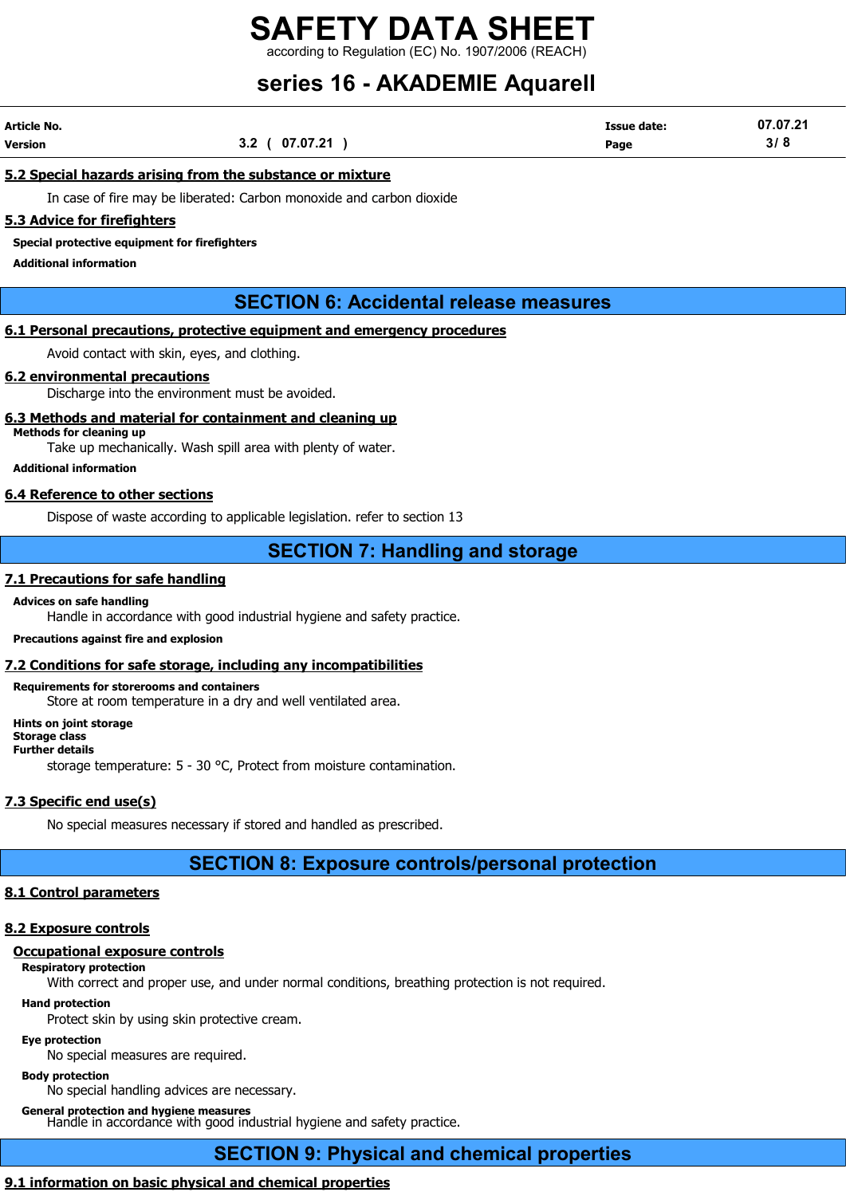according to Regulation (EC) No. 1907/2006 (REACH)

# series 16 - AKADEMIE Aquarell

| Article No. |                | <b>Issue date:</b> | 07.07.21 |
|-------------|----------------|--------------------|----------|
| Version     | 3.2 ( 07.07.21 | Page               | 3/8      |

#### 5.2 Special hazards arising from the substance or mixture

In case of fire may be liberated: Carbon monoxide and carbon dioxide

#### 5.3 Advice for firefighters

Special protective equipment for firefighters

Additional information

# SECTION 6: Accidental release measures

## 6.1 Personal precautions, protective equipment and emergency procedures

Avoid contact with skin, eyes, and clothing.

#### 6.2 environmental precautions

Discharge into the environment must be avoided.

#### 6.3 Methods and material for containment and cleaning up

Methods for cleaning up

Take up mechanically. Wash spill area with plenty of water.

Additional information

## 6.4 Reference to other sections

Dispose of waste according to applicable legislation. refer to section 13

# SECTION 7: Handling and storage

#### 7.1 Precautions for safe handling

#### Advices on safe handling

Handle in accordance with good industrial hygiene and safety practice.

#### Precautions against fire and explosion

#### 7.2 Conditions for safe storage, including any incompatibilities

Requirements for storerooms and containers Store at room temperature in a dry and well ventilated area.

Hints on joint storage Storage class Further details storage temperature: 5 - 30 °C, Protect from moisture contamination.

## 7.3 Specific end use(s)

No special measures necessary if stored and handled as prescribed.

# SECTION 8: Exposure controls/personal protection

# 8.1 Control parameters

# 8.2 Exposure controls

# Occupational exposure controls

Respiratory protection

With correct and proper use, and under normal conditions, breathing protection is not required.

Hand protection

Protect skin by using skin protective cream.

# Eye protection

No special measures are required.

## Body protection

No special handling advices are necessary.

# General protection and hygiene measures

Handle in accordance with good industrial hygiene and safety practice.

# SECTION 9: Physical and chemical properties

# 9.1 information on basic physical and chemical properties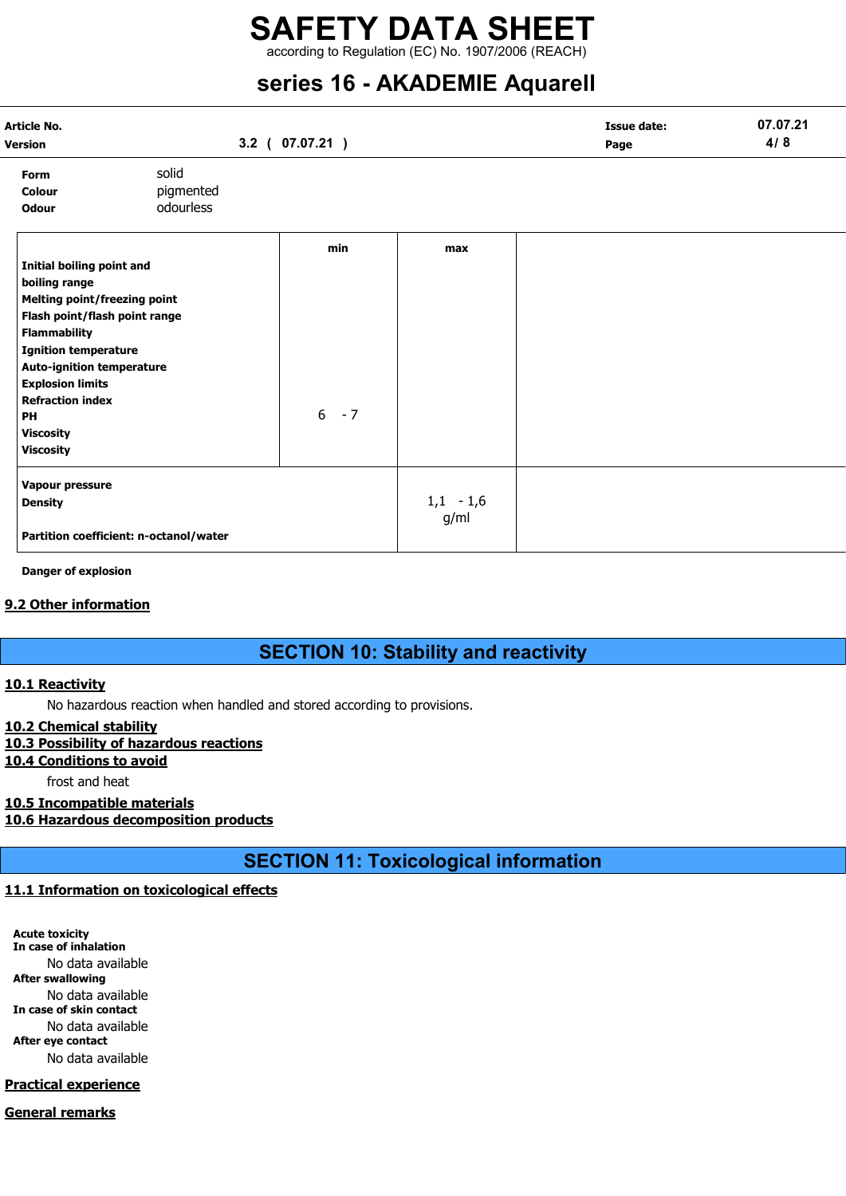# SAFETY DATA SHEET according to Regulation (EC) No. 1907/2006 (REACH)

# series 16 - AKADEMIE Aquarell

| Article No.<br>Version                                                                                                                                                                                                                                                                                           |                                        | $3.2$ ( $07.07.21$ ) |                     | <b>Issue date:</b><br>Page | 07.07.21<br>4/8 |
|------------------------------------------------------------------------------------------------------------------------------------------------------------------------------------------------------------------------------------------------------------------------------------------------------------------|----------------------------------------|----------------------|---------------------|----------------------------|-----------------|
| Form<br>Colour<br><b>Odour</b>                                                                                                                                                                                                                                                                                   | solid<br>pigmented<br>odourless        |                      |                     |                            |                 |
| Initial boiling point and<br>boiling range<br>Melting point/freezing point<br>Flash point/flash point range<br><b>Flammability</b><br><b>Ignition temperature</b><br><b>Auto-ignition temperature</b><br><b>Explosion limits</b><br><b>Refraction index</b><br><b>PH</b><br><b>Viscosity</b><br><b>Viscosity</b> |                                        | min<br>$6 - 7$       | max                 |                            |                 |
| Vapour pressure<br><b>Density</b>                                                                                                                                                                                                                                                                                | Partition coefficient: n-octanol/water |                      | $1,1 - 1,6$<br>g/ml |                            |                 |

Danger of explosion

# 9.2 Other information

# SECTION 10: Stability and reactivity

## 10.1 Reactivity

No hazardous reaction when handled and stored according to provisions.

## 10.2 Chemical stability

# 10.3 Possibility of hazardous reactions

## 10.4 Conditions to avoid

frost and heat

# 10.5 Incompatible materials

10.6 Hazardous decomposition products

SECTION 11: Toxicological information

# 11.1 Information on toxicological effects

Acute toxicity In case of inhalation No data available After swallowing No data available In case of skin contact No data available After eye contact No data available

# Practical experience

## General remarks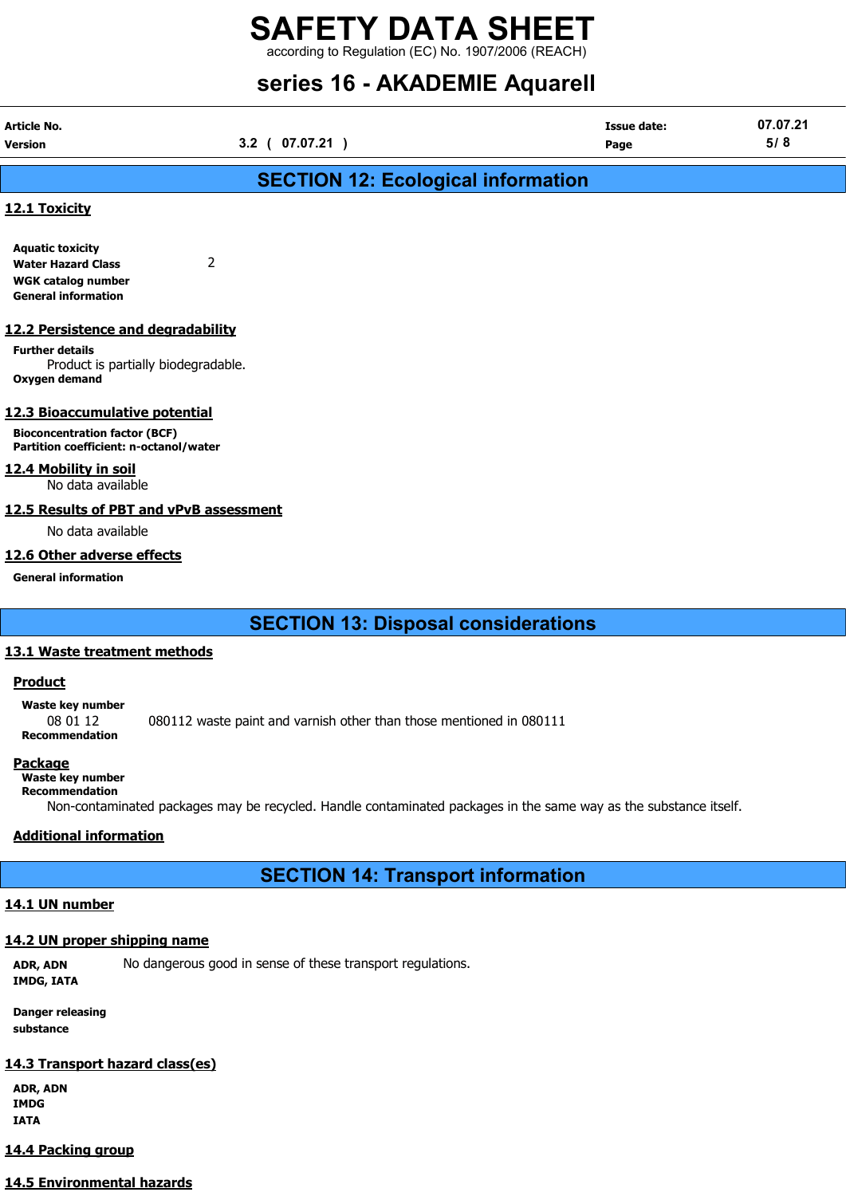according to Regulation (EC) No. 1907/2006 (REACH)

# series 16 - AKADEMIE Aquarell

| 3.2 ( 07.07.21 | Page | 5/8                |
|----------------|------|--------------------|
|                |      |                    |
|                |      | <b>Issue date:</b> |

# SECTION 12: Ecological information

## 12.1 Toxicity

Aquatic toxicity Water Hazard Class 2 WGK catalog number General information

#### 12.2 Persistence and degradability

Further details Product is partially biodegradable. Oxygen demand

## 12.3 Bioaccumulative potential

Bioconcentration factor (BCF) Partition coefficient: n-octanol/water

#### 12.4 Mobility in soil

No data available

## 12.5 Results of PBT and vPvB assessment

No data available

## 12.6 Other adverse effects

General information

SECTION 13: Disposal considerations

## 13.1 Waste treatment methods

## Product

Waste key number 08 01 12 080112 waste paint and varnish other than those mentioned in 080111 Recommendation

#### Package

Waste key number Recommendation

Non-contaminated packages may be recycled. Handle contaminated packages in the same way as the substance itself.

# Additional information

# SECTION 14: Transport information

# 14.1 UN number

## 14.2 UN proper shipping name

ADR, ADN No dangerous good in sense of these transport regulations. IMDG, IATA

Danger releasing substance

## 14.3 Transport hazard class(es)

ADR, ADN IMDG IATA

# 14.4 Packing group

# 14.5 Environmental hazards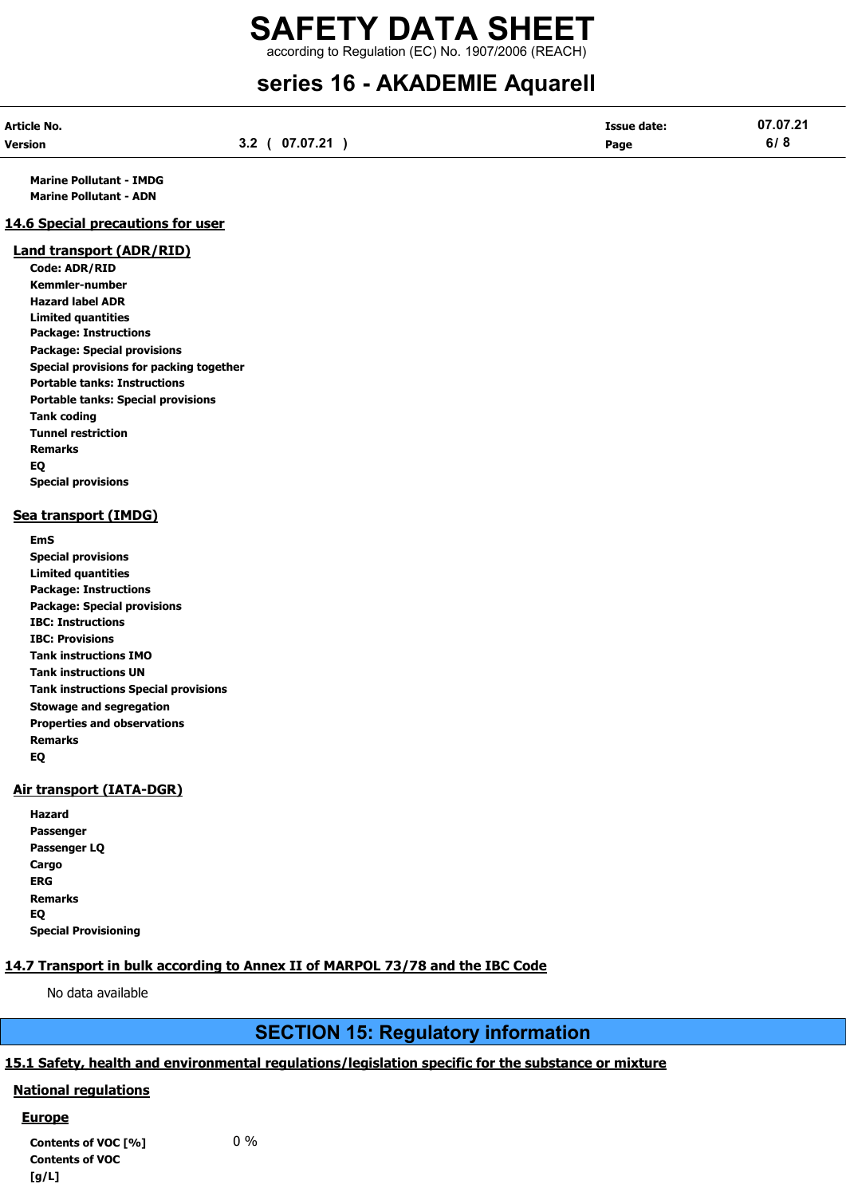according to Regulation (EC) No. 1907/2006 (REACH)

# series 16 - AKADEMIE Aquarell

| Article No. |                        | Issue date: | 07.07.21 |
|-------------|------------------------|-------------|----------|
| Version     | 07.07.21<br>י כ<br>v.L | Page        | 6/8      |

Marine Pollutant - IMDG Marine Pollutant - ADN

#### 14.6 Special precautions for user

#### Land transport (ADR/RID)

Code: ADR/RID Kemmler-number Hazard label ADR Limited quantities Package: Instructions Package: Special provisions Special provisions for packing together Portable tanks: Instructions Portable tanks: Special provisions Tank coding Tunnel restriction Remarks EQ Special provisions

## Sea transport (IMDG)

EmS Special provisions Limited quantities Package: Instructions Package: Special provisions IBC: Instructions IBC: Provisions Tank instructions IMO Tank instructions UN Tank instructions Special provisions Stowage and segregation Properties and observations Remarks EQ

## Air transport (IATA-DGR)

| Hazard                      |
|-----------------------------|
| Passenger                   |
| Passenger LQ                |
| Cargo                       |
| ERG                         |
| <b>Remarks</b>              |
| EQ                          |
| <b>Special Provisioning</b> |

# 14.7 Transport in bulk according to Annex II of MARPOL 73/78 and the IBC Code

No data available

# SECTION 15: Regulatory information

# 15.1 Safety, health and environmental regulations/legislation specific for the substance or mixture

## National regulations

## **Europe**

Contents of VOC  $[%]$  0% Contents of VOC  $[a/L]$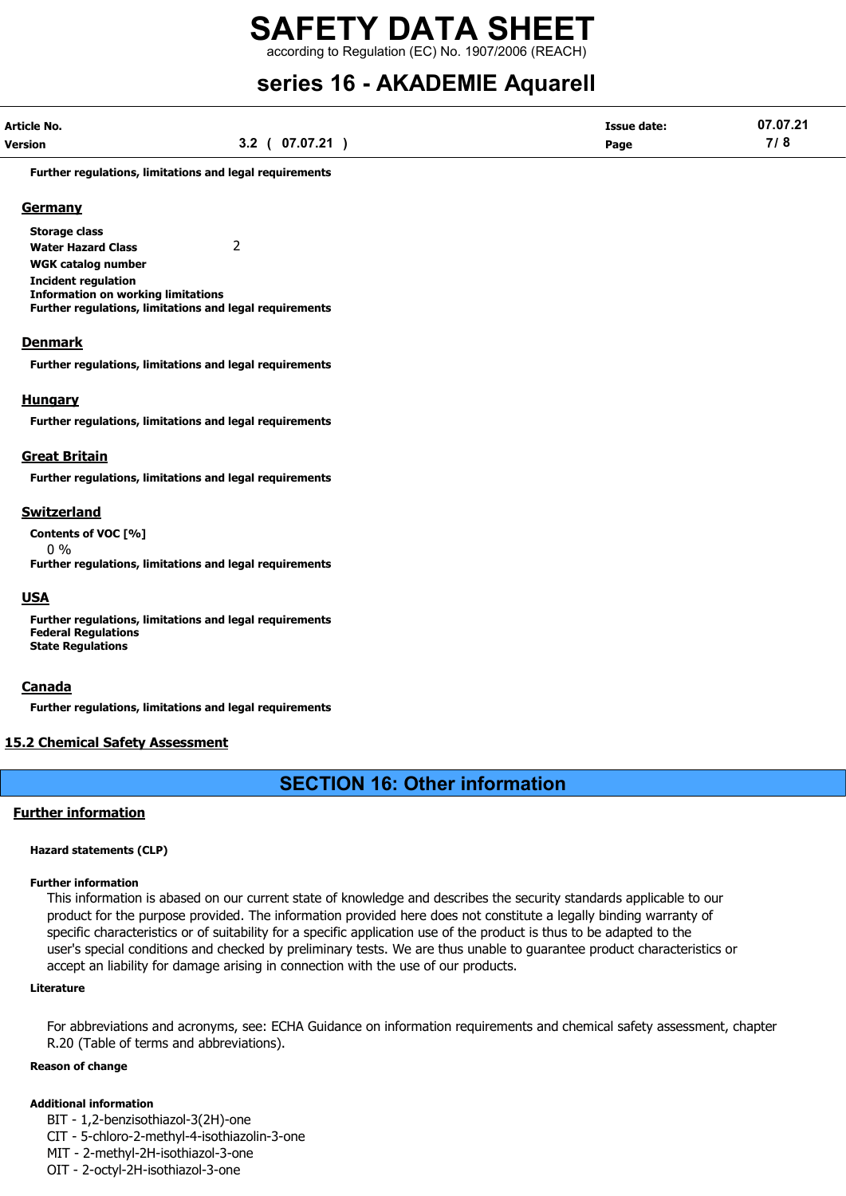according to Regulation (EC) No. 1907/2006 (REACH)

# series 16 - AKADEMIE Aquarell

| Article No. |                | <b>Issue date:</b> | 07.07.21 |
|-------------|----------------|--------------------|----------|
| Version     | 3.2 ( 07.07.21 | Page               | 7/8      |

Further regulations, limitations and legal requirements

#### **Germany**

Storage class

Water Hazard Class 2 WGK catalog number

Incident regulation Information on working limitations Further regulations, limitations and legal requirements

#### Denmark

Further regulations, limitations and legal requirements

#### Hungary

Further regulations, limitations and legal requirements

#### Great Britain

Further regulations, limitations and legal requirements

#### Switzerland

Contents of VOC [%]

0 %

Further regulations, limitations and legal requirements

#### USA

Further regulations, limitations and legal requirements Federal Regulations State Regulations

#### **Canada**

Further regulations, limitations and legal requirements

## 15.2 Chemical Safety Assessment

# SECTION 16: Other information

#### Further information

#### Hazard statements (CLP)

#### Further information

This information is abased on our current state of knowledge and describes the security standards applicable to our product for the purpose provided. The information provided here does not constitute a legally binding warranty of specific characteristics or of suitability for a specific application use of the product is thus to be adapted to the user's special conditions and checked by preliminary tests. We are thus unable to guarantee product characteristics or accept an liability for damage arising in connection with the use of our products.

#### Literature

For abbreviations and acronyms, see: ECHA Guidance on information requirements and chemical safety assessment, chapter R.20 (Table of terms and abbreviations).

#### Reason of change

#### Additional information

BIT - 1,2-benzisothiazol-3(2H)-one

CIT - 5-chloro-2-methyl-4-isothiazolin-3-one

MIT - 2-methyl-2H-isothiazol-3-one

OIT - 2-octyl-2H-isothiazol-3-one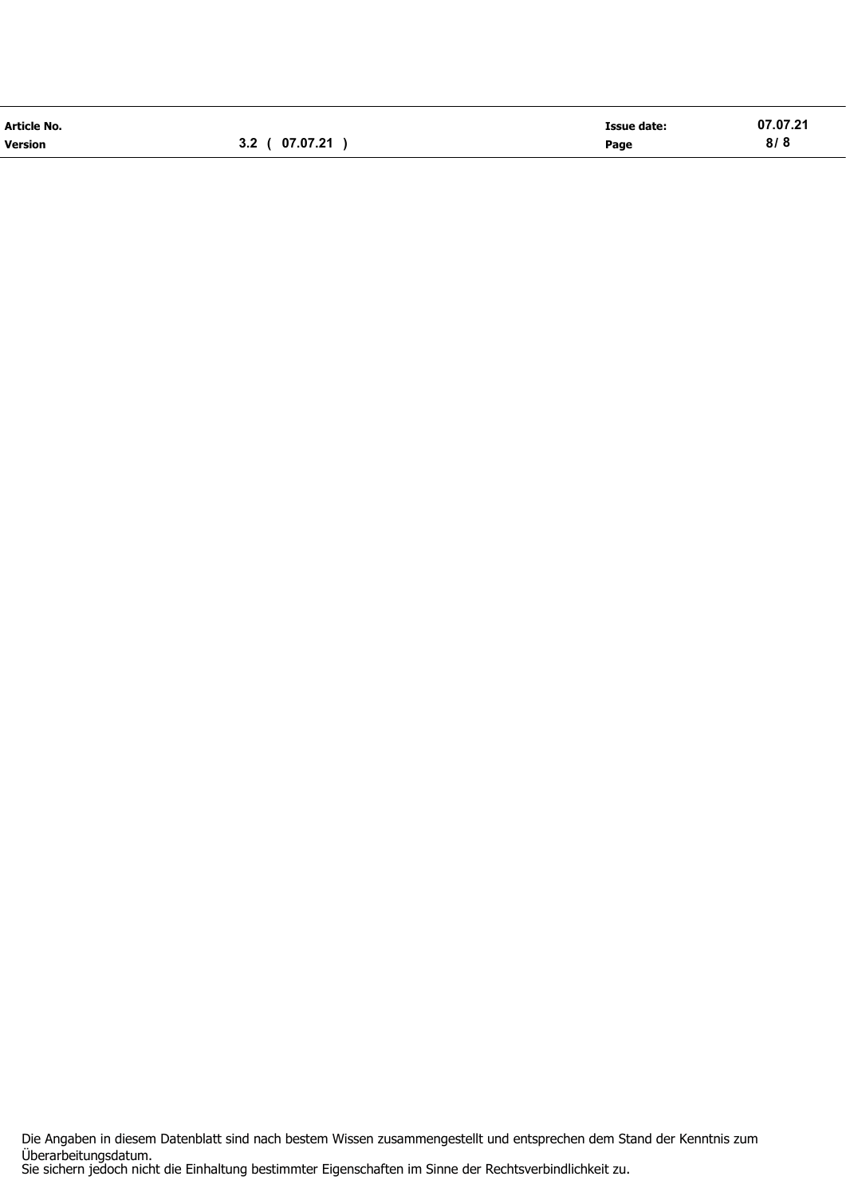| <b>Article No.</b> |                | <b>Issue date:</b> | 07.07.21 |
|--------------------|----------------|--------------------|----------|
| <b>Version</b>     | 3.2 ( 07.07.21 | Page               | 8/8      |